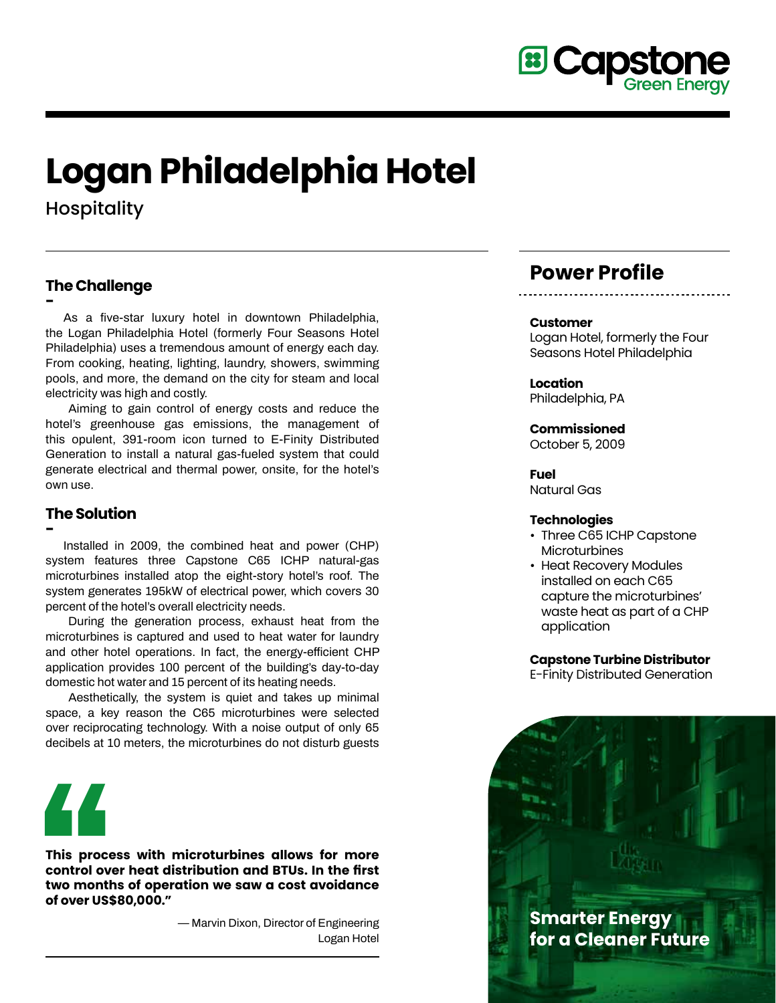

# **Logan Philadelphia Hotel**

**Hospitality** 

# **The Challenge**

**- As a five-star luxury hotel in downtown Philadelphia, the Logan Philadelphia Hotel (formerly Four Seasons Hotel Philadelphia) uses a tremendous amount of energy each day. From cooking, heating, lighting, laundry, showers, swimming pools, and more, the demand on the city for steam and local electricity was high and costly.**

**Aiming to gain control of energy costs and reduce the hotel's greenhouse gas emissions, the management of this opulent, 391-room icon turned to E-Finity Distributed Generation to install a natural gas-fueled system that could generate electrical and thermal power, onsite, for the hotel's own use.**

# **The Solution**

**-**

 **Installed in 2009, the combined heat and power (CHP) system features three Capstone C65 ICHP natural-gas microturbines installed atop the eight-story hotel's roof. The system generates 195kW of electrical power, which covers 30 percent of the hotel's overall electricity needs.** 

**During the generation process, exhaust heat from the microturbines is captured and used to heat water for laundry and other hotel operations. In fact, the energy-efficient CHP application provides 100 percent of the building's day-to-day domestic hot water and 15 percent of its heating needs.**

**Aesthetically, the system is quiet and takes up minimal space, a key reason the C65 microturbines were selected over reciprocating technology. With a noise output of only 65 decibels at 10 meters, the microturbines do not disturb guests**



**This process with microturbines allows for more control over heat distribution and BTUs. In the first two months of operation we saw a cost avoidance of over US\$80,000."**

> **— Marvin Dixon, Director of Engineering Logan Hotel**

# **Power Profile**

#### **Customer**

Logan Hotel, formerly the Four Seasons Hotel Philadelphia

**Location** Philadelphia, PA

#### **Commissioned**

October 5, 2009

**Fuel** Natural Gas

#### **Technologies**

- Three C65 ICHP Capstone **Microturbines**
- Heat Recovery Modules installed on each C65 capture the microturbines' waste heat as part of a CHP application

**Capstone Turbine Distributor** E-Finity Distributed Generation